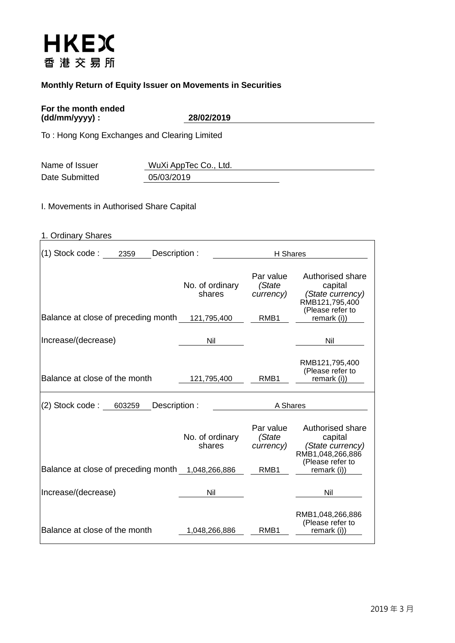# **HKEX** 香港交易所

## **Monthly Return of Equity Issuer on Movements in Securities**

#### **For the month ended (dd/mm/yyyy) : 28/02/2019**

To : Hong Kong Exchanges and Clearing Limited

| Name of Issuer | WuXi AppTec Co., Ltd. |
|----------------|-----------------------|
| Date Submitted | 05/03/2019            |

I. Movements in Authorised Share Capital

| 1. Ordinary Shares                                |                           |                                  |                                                                                       |
|---------------------------------------------------|---------------------------|----------------------------------|---------------------------------------------------------------------------------------|
| (1) Stock code :<br>2359<br>Description:          |                           | H Shares                         |                                                                                       |
|                                                   | No. of ordinary<br>shares | Par value<br>(State<br>currency) | Authorised share<br>capital<br>(State currency)<br>RMB121,795,400<br>(Please refer to |
| Balance at close of preceding month               | 121,795,400               | RMB1                             | remark (i))                                                                           |
| Increase/(decrease)                               | Nil                       |                                  | Nil                                                                                   |
| Balance at close of the month                     | 121,795,400               | RMB <sub>1</sub>                 | RMB121,795,400<br>(Please refer to<br>remark (i))                                     |
| (2) Stock code:<br>Description:<br>603259         |                           | A Shares                         |                                                                                       |
|                                                   | No. of ordinary<br>shares | Par value<br>(State<br>currency) | Authorised share<br>capital<br>(State currency)<br>RMB1,048,266,886                   |
| Balance at close of preceding month 1,048,266,886 |                           | RMB1                             | (Please refer to<br>remark (i))                                                       |
| Increase/(decrease)                               | Nil                       |                                  | Nil                                                                                   |
| Balance at close of the month                     | 1,048,266,886             | RMB1                             | RMB1,048,266,886<br>(Please refer to<br>remark (i))                                   |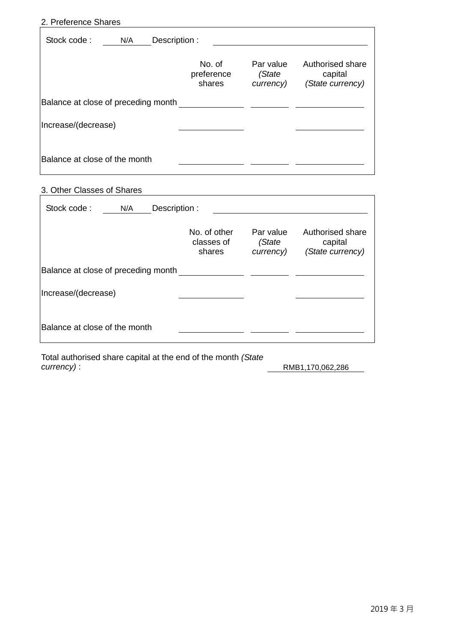#### 2. Preference Shares

| Stock code:<br>N/A                  | Description :                  |                                  |                                                 |  |  |  |  |
|-------------------------------------|--------------------------------|----------------------------------|-------------------------------------------------|--|--|--|--|
|                                     | No. of<br>preference<br>shares | Par value<br>(State<br>currency) | Authorised share<br>capital<br>(State currency) |  |  |  |  |
| Balance at close of preceding month |                                |                                  |                                                 |  |  |  |  |
| Increase/(decrease)                 |                                |                                  |                                                 |  |  |  |  |
| Balance at close of the month       |                                |                                  |                                                 |  |  |  |  |

# 3. Other Classes of Shares

| Stock code:                         | N/A | Description : |                                      |                                  |                                                 |
|-------------------------------------|-----|---------------|--------------------------------------|----------------------------------|-------------------------------------------------|
|                                     |     |               | No. of other<br>classes of<br>shares | Par value<br>(State<br>currency) | Authorised share<br>capital<br>(State currency) |
| Balance at close of preceding month |     |               |                                      |                                  |                                                 |
| Increase/(decrease)                 |     |               |                                      |                                  |                                                 |
| Balance at close of the month       |     |               |                                      |                                  |                                                 |

Total authorised share capital at the end of the month *(State* 

*currency)* : RMB1,170,062,286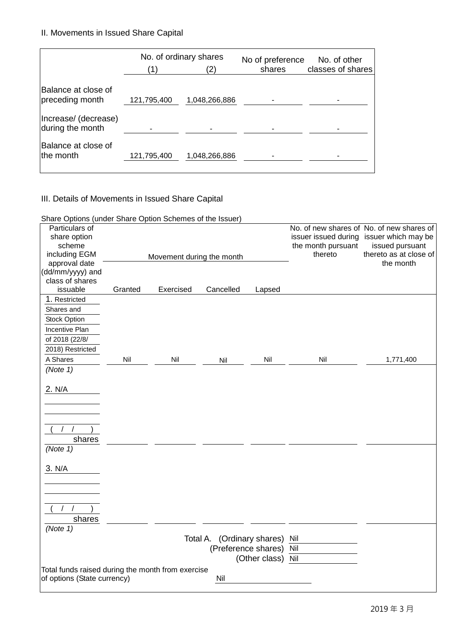II. Movements in Issued Share Capital

|                                         | No. of ordinary shares<br>2) |               | No of preference<br>shares | No. of other<br>classes of shares |
|-----------------------------------------|------------------------------|---------------|----------------------------|-----------------------------------|
| Balance at close of                     |                              |               |                            |                                   |
| preceding month<br>Increase/ (decrease) | 121,795,400                  | 1,048,266,886 |                            |                                   |
| during the month                        |                              |               |                            |                                   |
| Balance at close of<br>the month        | 121,795,400                  | 1,048,266,886 |                            |                                   |

## III. Details of Movements in Issued Share Capital

Share Options (under Share Option Schemes of the Issuer)

| Particulars of<br>share option                    |         |                           |                                |                   |                               | No. of new shares of No. of new shares of<br>issuer issued during issuer which may be |
|---------------------------------------------------|---------|---------------------------|--------------------------------|-------------------|-------------------------------|---------------------------------------------------------------------------------------|
| scheme<br>including EGM                           |         |                           |                                |                   | the month pursuant<br>thereto | issued pursuant<br>thereto as at close of                                             |
| approval date                                     |         | Movement during the month |                                |                   |                               | the month                                                                             |
| (dd/mm/yyyy) and                                  |         |                           |                                |                   |                               |                                                                                       |
| class of shares                                   |         |                           |                                |                   |                               |                                                                                       |
| issuable                                          | Granted | Exercised                 | Cancelled                      | Lapsed            |                               |                                                                                       |
| 1. Restricted                                     |         |                           |                                |                   |                               |                                                                                       |
| Shares and                                        |         |                           |                                |                   |                               |                                                                                       |
| <b>Stock Option</b>                               |         |                           |                                |                   |                               |                                                                                       |
| <b>Incentive Plan</b>                             |         |                           |                                |                   |                               |                                                                                       |
| of 2018 (22/8/                                    |         |                           |                                |                   |                               |                                                                                       |
| 2018) Restricted                                  |         |                           |                                |                   |                               |                                                                                       |
| A Shares                                          | Nil     | Nil                       | Nil                            | Nil               | Nil                           | 1,771,400                                                                             |
| (Note 1)                                          |         |                           |                                |                   |                               |                                                                                       |
|                                                   |         |                           |                                |                   |                               |                                                                                       |
| 2. N/A                                            |         |                           |                                |                   |                               |                                                                                       |
|                                                   |         |                           |                                |                   |                               |                                                                                       |
|                                                   |         |                           |                                |                   |                               |                                                                                       |
|                                                   |         |                           |                                |                   |                               |                                                                                       |
|                                                   |         |                           |                                |                   |                               |                                                                                       |
| shares                                            |         |                           |                                |                   |                               |                                                                                       |
| (Note 1)                                          |         |                           |                                |                   |                               |                                                                                       |
|                                                   |         |                           |                                |                   |                               |                                                                                       |
| 3. N/A                                            |         |                           |                                |                   |                               |                                                                                       |
|                                                   |         |                           |                                |                   |                               |                                                                                       |
|                                                   |         |                           |                                |                   |                               |                                                                                       |
|                                                   |         |                           |                                |                   |                               |                                                                                       |
|                                                   |         |                           |                                |                   |                               |                                                                                       |
| shares                                            |         |                           |                                |                   |                               |                                                                                       |
| (Note 1)                                          |         |                           |                                |                   |                               |                                                                                       |
|                                                   |         |                           | Total A. (Ordinary shares) Nil |                   |                               |                                                                                       |
|                                                   |         |                           | (Preference shares) Nil        |                   |                               |                                                                                       |
|                                                   |         |                           |                                | (Other class) Nil |                               |                                                                                       |
| Total funds raised during the month from exercise |         |                           |                                |                   |                               |                                                                                       |
| of options (State currency)                       |         |                           | Nil                            |                   |                               |                                                                                       |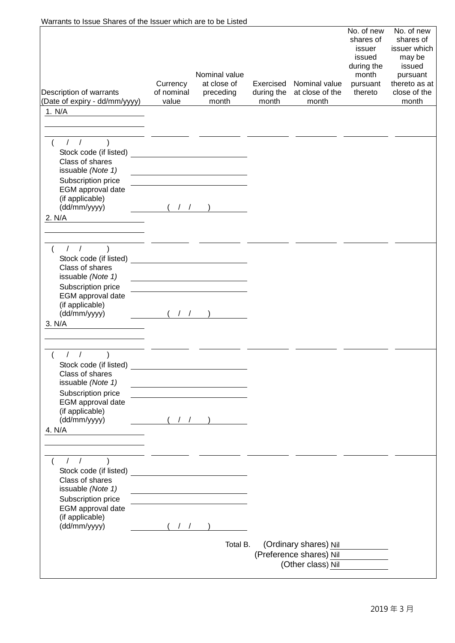| Warrants to Issue Shares of the Issuer which are to be Listed                                   |                                 |                                                                                                                       |                                  |                                                  |                                                                                           |                                                                                                                   |
|-------------------------------------------------------------------------------------------------|---------------------------------|-----------------------------------------------------------------------------------------------------------------------|----------------------------------|--------------------------------------------------|-------------------------------------------------------------------------------------------|-------------------------------------------------------------------------------------------------------------------|
| Description of warrants<br>(Date of expiry - dd/mm/yyyy)                                        | Currency<br>of nominal<br>value | Nominal value<br>at close of<br>preceding<br>month                                                                    | Exercised<br>during the<br>month | Nominal value<br>at close of the<br>month        | No. of new<br>shares of<br>issuer<br>issued<br>during the<br>month<br>pursuant<br>thereto | No. of new<br>shares of<br>issuer which<br>may be<br>issued<br>pursuant<br>thereto as at<br>close of the<br>month |
| 1. N/A                                                                                          |                                 |                                                                                                                       |                                  |                                                  |                                                                                           |                                                                                                                   |
|                                                                                                 |                                 |                                                                                                                       |                                  |                                                  |                                                                                           |                                                                                                                   |
|                                                                                                 |                                 |                                                                                                                       |                                  |                                                  |                                                                                           |                                                                                                                   |
| $1/2$ )<br>Stock code (if listed)<br>Class of shares<br>issuable (Note 1)<br>Subscription price |                                 | <u> 1989 - Johann Barn, mars an t-Amerikaansk politiker (</u>                                                         |                                  |                                                  |                                                                                           |                                                                                                                   |
| EGM approval date                                                                               |                                 |                                                                                                                       |                                  |                                                  |                                                                                           |                                                                                                                   |
| (if applicable)                                                                                 |                                 |                                                                                                                       |                                  |                                                  |                                                                                           |                                                                                                                   |
| (dd/mm/yyyy)                                                                                    | (11)                            |                                                                                                                       |                                  |                                                  |                                                                                           |                                                                                                                   |
| 2. N/A                                                                                          |                                 |                                                                                                                       |                                  |                                                  |                                                                                           |                                                                                                                   |
|                                                                                                 |                                 |                                                                                                                       |                                  |                                                  |                                                                                           |                                                                                                                   |
|                                                                                                 |                                 |                                                                                                                       |                                  |                                                  |                                                                                           |                                                                                                                   |
| 1/                                                                                              |                                 |                                                                                                                       |                                  |                                                  |                                                                                           |                                                                                                                   |
| Class of shares<br>issuable (Note 1)                                                            |                                 |                                                                                                                       |                                  |                                                  |                                                                                           |                                                                                                                   |
| Subscription price                                                                              |                                 |                                                                                                                       |                                  |                                                  |                                                                                           |                                                                                                                   |
| EGM approval date<br>(if applicable)                                                            |                                 |                                                                                                                       |                                  |                                                  |                                                                                           |                                                                                                                   |
| (dd/mm/yyyy)                                                                                    |                                 |                                                                                                                       |                                  |                                                  |                                                                                           |                                                                                                                   |
| 3. N/A                                                                                          |                                 |                                                                                                                       |                                  |                                                  |                                                                                           |                                                                                                                   |
|                                                                                                 |                                 |                                                                                                                       |                                  |                                                  |                                                                                           |                                                                                                                   |
|                                                                                                 |                                 |                                                                                                                       |                                  |                                                  |                                                                                           |                                                                                                                   |
| $\sqrt{ }$<br>$\sqrt{2}$<br>Class of shares                                                     |                                 |                                                                                                                       |                                  |                                                  |                                                                                           |                                                                                                                   |
| issuable (Note 1)                                                                               |                                 |                                                                                                                       |                                  |                                                  |                                                                                           |                                                                                                                   |
| Subscription price                                                                              |                                 |                                                                                                                       |                                  |                                                  |                                                                                           |                                                                                                                   |
| EGM approval date                                                                               |                                 |                                                                                                                       |                                  |                                                  |                                                                                           |                                                                                                                   |
| (if applicable)<br>(dd/mm/yyyy)                                                                 |                                 | (11)                                                                                                                  |                                  |                                                  |                                                                                           |                                                                                                                   |
| 4. N/A<br><u> 1980 - Jan Alexandria (</u>                                                       |                                 |                                                                                                                       |                                  |                                                  |                                                                                           |                                                                                                                   |
|                                                                                                 |                                 |                                                                                                                       |                                  |                                                  |                                                                                           |                                                                                                                   |
|                                                                                                 |                                 |                                                                                                                       |                                  |                                                  |                                                                                           |                                                                                                                   |
| $1/2$ )                                                                                         |                                 |                                                                                                                       |                                  |                                                  |                                                                                           |                                                                                                                   |
|                                                                                                 |                                 |                                                                                                                       |                                  |                                                  |                                                                                           |                                                                                                                   |
| Class of shares                                                                                 |                                 |                                                                                                                       |                                  |                                                  |                                                                                           |                                                                                                                   |
| issuable (Note 1)<br>Subscription price                                                         |                                 | <u> 1989 - Johann Barbara, martin amerikan basar dan basa dan basa dan basa dalam basa dalam basa dalam basa dala</u> |                                  |                                                  |                                                                                           |                                                                                                                   |
| EGM approval date                                                                               |                                 |                                                                                                                       |                                  |                                                  |                                                                                           |                                                                                                                   |
| (if applicable)                                                                                 |                                 |                                                                                                                       |                                  |                                                  |                                                                                           |                                                                                                                   |
| (dd/mm/yyyy)                                                                                    | (1)                             |                                                                                                                       |                                  |                                                  |                                                                                           |                                                                                                                   |
|                                                                                                 |                                 | Total B.                                                                                                              |                                  |                                                  |                                                                                           |                                                                                                                   |
|                                                                                                 |                                 |                                                                                                                       |                                  | (Ordinary shares) Nil<br>(Preference shares) Nil |                                                                                           |                                                                                                                   |
|                                                                                                 |                                 |                                                                                                                       |                                  | (Other class) Nil                                |                                                                                           |                                                                                                                   |
|                                                                                                 |                                 |                                                                                                                       |                                  |                                                  |                                                                                           |                                                                                                                   |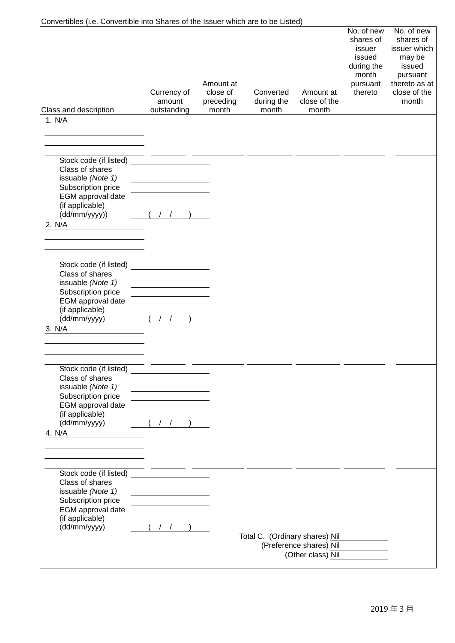| Convertibles (i.e. Convertible into Shares of the Issuer which are to be Listed)     |                                      |                                             |                                  |                                    |                                                                                           |                                                                                                                   |
|--------------------------------------------------------------------------------------|--------------------------------------|---------------------------------------------|----------------------------------|------------------------------------|-------------------------------------------------------------------------------------------|-------------------------------------------------------------------------------------------------------------------|
| Class and description                                                                | Currency of<br>amount<br>outstanding | Amount at<br>close of<br>preceding<br>month | Converted<br>during the<br>month | Amount at<br>close of the<br>month | No. of new<br>shares of<br>issuer<br>issued<br>during the<br>month<br>pursuant<br>thereto | No. of new<br>shares of<br>issuer which<br>may be<br>issued<br>pursuant<br>thereto as at<br>close of the<br>month |
| 1. N/A                                                                               |                                      |                                             |                                  |                                    |                                                                                           |                                                                                                                   |
|                                                                                      |                                      |                                             |                                  |                                    |                                                                                           |                                                                                                                   |
|                                                                                      |                                      |                                             |                                  |                                    |                                                                                           |                                                                                                                   |
|                                                                                      |                                      |                                             |                                  |                                    |                                                                                           |                                                                                                                   |
| Stock code (if listed)<br>Class of shares<br>issuable (Note 1)<br>Subscription price |                                      |                                             |                                  |                                    |                                                                                           |                                                                                                                   |
| EGM approval date<br>(if applicable)<br>(dd/mm/yyyy))                                |                                      |                                             |                                  |                                    |                                                                                           |                                                                                                                   |
| 2. N/A                                                                               |                                      |                                             |                                  |                                    |                                                                                           |                                                                                                                   |
|                                                                                      |                                      |                                             |                                  |                                    |                                                                                           |                                                                                                                   |
|                                                                                      |                                      |                                             |                                  |                                    |                                                                                           |                                                                                                                   |
|                                                                                      |                                      |                                             |                                  |                                    |                                                                                           |                                                                                                                   |
| Stock code (if listed)<br>Class of shares                                            |                                      |                                             |                                  |                                    |                                                                                           |                                                                                                                   |
| issuable (Note 1)                                                                    |                                      |                                             |                                  |                                    |                                                                                           |                                                                                                                   |
| Subscription price                                                                   |                                      |                                             |                                  |                                    |                                                                                           |                                                                                                                   |
| EGM approval date                                                                    |                                      |                                             |                                  |                                    |                                                                                           |                                                                                                                   |
| (if applicable)<br>(dd/mm/yyyy)                                                      |                                      |                                             |                                  |                                    |                                                                                           |                                                                                                                   |
| 3. N/A                                                                               |                                      |                                             |                                  |                                    |                                                                                           |                                                                                                                   |
|                                                                                      |                                      |                                             |                                  |                                    |                                                                                           |                                                                                                                   |
|                                                                                      |                                      |                                             |                                  |                                    |                                                                                           |                                                                                                                   |
|                                                                                      |                                      |                                             |                                  |                                    |                                                                                           |                                                                                                                   |
| Stock code (if listed)                                                               |                                      |                                             |                                  |                                    |                                                                                           |                                                                                                                   |
| Class of shares                                                                      |                                      |                                             |                                  |                                    |                                                                                           |                                                                                                                   |
| issuable (Note 1)<br>Subscription price                                              |                                      |                                             |                                  |                                    |                                                                                           |                                                                                                                   |
| EGM approval date                                                                    |                                      |                                             |                                  |                                    |                                                                                           |                                                                                                                   |
| (if applicable)                                                                      |                                      |                                             |                                  |                                    |                                                                                           |                                                                                                                   |
| (dd/mm/yyyy)                                                                         | (11)                                 |                                             |                                  |                                    |                                                                                           |                                                                                                                   |
| 4. N/A                                                                               |                                      |                                             |                                  |                                    |                                                                                           |                                                                                                                   |
|                                                                                      |                                      |                                             |                                  |                                    |                                                                                           |                                                                                                                   |
|                                                                                      |                                      |                                             |                                  |                                    |                                                                                           |                                                                                                                   |
| Stock code (if listed)                                                               |                                      |                                             |                                  |                                    |                                                                                           |                                                                                                                   |
| Class of shares                                                                      |                                      |                                             |                                  |                                    |                                                                                           |                                                                                                                   |
| issuable (Note 1)                                                                    |                                      |                                             |                                  |                                    |                                                                                           |                                                                                                                   |
| Subscription price                                                                   |                                      |                                             |                                  |                                    |                                                                                           |                                                                                                                   |
| EGM approval date<br>(if applicable)                                                 |                                      |                                             |                                  |                                    |                                                                                           |                                                                                                                   |
| (dd/mm/yyyy)                                                                         | $($ / $/$                            |                                             |                                  |                                    |                                                                                           |                                                                                                                   |
|                                                                                      |                                      |                                             | Total C. (Ordinary shares) Nil   |                                    |                                                                                           |                                                                                                                   |
|                                                                                      |                                      |                                             |                                  | (Preference shares) Nil            |                                                                                           |                                                                                                                   |
|                                                                                      |                                      |                                             |                                  | (Other class) Nil                  |                                                                                           |                                                                                                                   |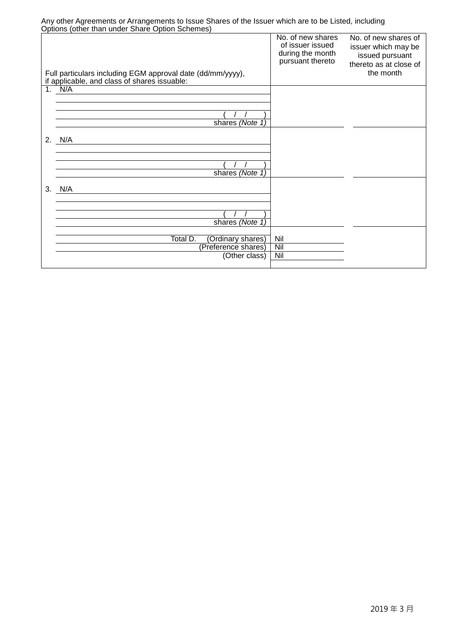| Arry other Agreements of Arrangements to issue Shares of the issuer which are to be Listed, including<br>Options (other than under Share Option Schemes) |                                                                               |                                                                                                       |
|----------------------------------------------------------------------------------------------------------------------------------------------------------|-------------------------------------------------------------------------------|-------------------------------------------------------------------------------------------------------|
| Full particulars including EGM approval date (dd/mm/yyyy),<br>if applicable, and class of shares issuable:                                               | No. of new shares<br>of issuer issued<br>during the month<br>pursuant thereto | No. of new shares of<br>issuer which may be<br>issued pursuant<br>thereto as at close of<br>the month |
| 1. N/A                                                                                                                                                   |                                                                               |                                                                                                       |
|                                                                                                                                                          |                                                                               |                                                                                                       |
|                                                                                                                                                          |                                                                               |                                                                                                       |
| shares (Note 1)                                                                                                                                          |                                                                               |                                                                                                       |
|                                                                                                                                                          |                                                                               |                                                                                                       |
| 2.<br>N/A                                                                                                                                                |                                                                               |                                                                                                       |
|                                                                                                                                                          |                                                                               |                                                                                                       |
|                                                                                                                                                          |                                                                               |                                                                                                       |
|                                                                                                                                                          |                                                                               |                                                                                                       |
| shares (Note 1)                                                                                                                                          |                                                                               |                                                                                                       |
| 3.<br>N/A                                                                                                                                                |                                                                               |                                                                                                       |
|                                                                                                                                                          |                                                                               |                                                                                                       |
|                                                                                                                                                          |                                                                               |                                                                                                       |
|                                                                                                                                                          |                                                                               |                                                                                                       |
| shares (Note 1)                                                                                                                                          |                                                                               |                                                                                                       |
|                                                                                                                                                          |                                                                               |                                                                                                       |
| Total D.<br>(Ordinary shares)                                                                                                                            | Nil                                                                           |                                                                                                       |
| (Preference shares)                                                                                                                                      | Nil<br>Nil                                                                    |                                                                                                       |
| (Other class)                                                                                                                                            |                                                                               |                                                                                                       |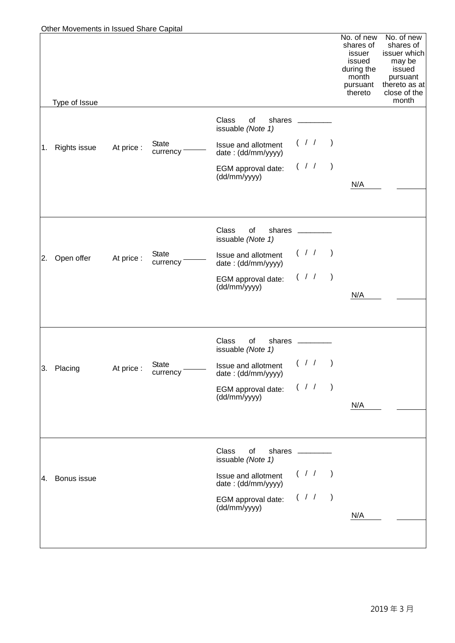|    | Other Movements in Issued Share Capital |            |                          |                                                     |           |                                               |                                                                                           |                                                                                                                   |
|----|-----------------------------------------|------------|--------------------------|-----------------------------------------------------|-----------|-----------------------------------------------|-------------------------------------------------------------------------------------------|-------------------------------------------------------------------------------------------------------------------|
|    |                                         |            |                          |                                                     |           |                                               | No. of new<br>shares of<br>issuer<br>issued<br>during the<br>month<br>pursuant<br>thereto | No. of new<br>shares of<br>issuer which<br>may be<br>issued<br>pursuant<br>thereto as at<br>close of the<br>month |
|    | Type of Issue                           |            |                          |                                                     |           |                                               |                                                                                           |                                                                                                                   |
|    |                                         |            |                          | <b>Class</b><br>οf<br>shares<br>issuable (Note 1)   |           |                                               |                                                                                           |                                                                                                                   |
| 1. | <b>Rights issue</b>                     | At price : | <b>State</b><br>currency | Issue and allotment<br>date: (dd/mm/yyyy)           |           | (11)                                          |                                                                                           |                                                                                                                   |
|    |                                         |            |                          | EGM approval date:<br>(dd/mm/yyyy)                  | $($ / $/$ | $\rightarrow$                                 |                                                                                           |                                                                                                                   |
|    |                                         |            |                          |                                                     |           |                                               | N/A                                                                                       |                                                                                                                   |
|    |                                         |            |                          |                                                     |           |                                               |                                                                                           |                                                                                                                   |
|    |                                         |            |                          | Class<br>οf<br>shares<br>issuable (Note 1)          |           |                                               |                                                                                           |                                                                                                                   |
| 2. | Open offer                              | At price:  | <b>State</b><br>currency | Issue and allotment<br>date: (dd/mm/yyyy)           |           | (11)                                          |                                                                                           |                                                                                                                   |
|    |                                         |            |                          | EGM approval date:<br>(dd/mm/yyyy)                  | $($ / $/$ | $\left( \begin{array}{c} \end{array} \right)$ |                                                                                           |                                                                                                                   |
|    |                                         |            |                          |                                                     |           |                                               | N/A                                                                                       |                                                                                                                   |
|    |                                         |            |                          | Class<br>οf<br>shares                               |           |                                               |                                                                                           |                                                                                                                   |
|    |                                         |            |                          | issuable (Note 1)                                   |           |                                               |                                                                                           |                                                                                                                   |
| 3. | Placing                                 | At price:  | <b>State</b><br>currency | Issue and allotment $( / / )$<br>date: (dd/mm/yyyy) |           |                                               |                                                                                           |                                                                                                                   |
|    |                                         |            |                          | EGM approval date:<br>(dd/mm/yyyy)                  | $($ / /   | $\rightarrow$                                 |                                                                                           |                                                                                                                   |
|    |                                         |            |                          |                                                     |           |                                               | N/A                                                                                       |                                                                                                                   |
|    |                                         |            |                          |                                                     |           |                                               |                                                                                           |                                                                                                                   |
|    |                                         |            |                          | Class<br>of<br>shares<br>issuable (Note 1)          |           |                                               |                                                                                           |                                                                                                                   |
| 4. | Bonus issue                             |            |                          | Issue and allotment<br>date: (dd/mm/yyyy)           | $($ / /   | $\left( \begin{array}{c} \end{array} \right)$ |                                                                                           |                                                                                                                   |
|    |                                         |            |                          | EGM approval date:<br>(dd/mm/yyyy)                  | $($ / /   | $\rightarrow$                                 |                                                                                           |                                                                                                                   |
|    |                                         |            |                          |                                                     |           |                                               | N/A                                                                                       |                                                                                                                   |
|    |                                         |            |                          |                                                     |           |                                               |                                                                                           |                                                                                                                   |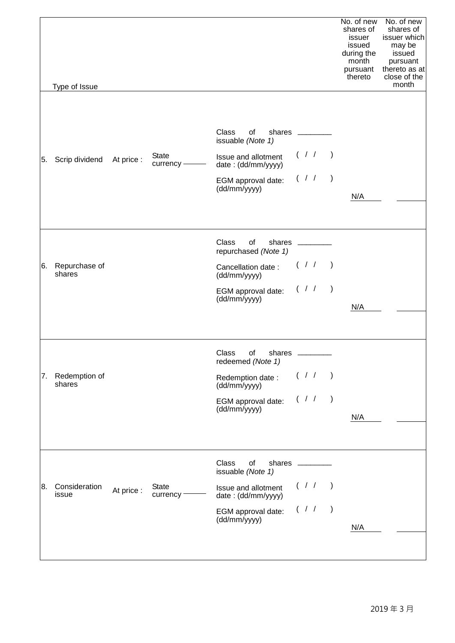|    | Type of Issue           |            |                          |                                                                            |             |               | No. of new<br>shares of<br>issuer<br>issued<br>during the<br>month<br>pursuant<br>thereto | No. of new<br>shares of<br>issuer which<br>may be<br>issued<br>pursuant<br>thereto as at<br>close of the<br>month |
|----|-------------------------|------------|--------------------------|----------------------------------------------------------------------------|-------------|---------------|-------------------------------------------------------------------------------------------|-------------------------------------------------------------------------------------------------------------------|
|    |                         |            |                          |                                                                            |             |               |                                                                                           |                                                                                                                   |
|    |                         |            | <b>State</b>             | <b>Class</b><br>shares _<br>of<br>issuable (Note 1)<br>Issue and allotment | (11)        |               |                                                                                           |                                                                                                                   |
| 5. | Scrip dividend          | At price:  | $curve$ ncy $-$          | date: (dd/mm/yyyy)                                                         |             |               |                                                                                           |                                                                                                                   |
|    |                         |            |                          | EGM approval date:<br>(dd/mm/yyyy)                                         | (11)        |               | N/A                                                                                       |                                                                                                                   |
|    |                         |            |                          | Class<br>of<br>shares<br>repurchased (Note 1)                              |             |               |                                                                                           |                                                                                                                   |
| 6. | Repurchase of<br>shares |            |                          | Cancellation date:<br>(dd/mm/yyyy)                                         | (11)        |               |                                                                                           |                                                                                                                   |
|    |                         |            |                          | EGM approval date:<br>(dd/mm/yyyy)                                         | (11)        |               | N/A                                                                                       |                                                                                                                   |
|    |                         |            |                          |                                                                            |             |               |                                                                                           |                                                                                                                   |
|    |                         |            |                          | Class<br>of<br>shares<br>redeemed (Note 1)                                 |             |               |                                                                                           |                                                                                                                   |
| 7. | Redemption of<br>shares |            |                          | Redemption date:<br>(dd/mm/yyyy)                                           | (11)        |               |                                                                                           |                                                                                                                   |
|    |                         |            |                          | EGM approval date:<br>(dd/mm/yyyy)                                         | $($ / /     | $\rightarrow$ |                                                                                           |                                                                                                                   |
|    |                         |            |                          |                                                                            |             |               | N/A                                                                                       |                                                                                                                   |
|    |                         |            |                          | Class<br>of<br>shares<br>issuable (Note 1)                                 |             |               |                                                                                           |                                                                                                                   |
| 8. | Consideration<br>issue  | At price : | <b>State</b><br>currency | Issue and allotment<br>date: (dd/mm/yyyy)                                  | $($ / $/$ ) |               |                                                                                           |                                                                                                                   |
|    |                         |            |                          | EGM approval date:<br>(dd/mm/yyyy)                                         | $($ / $/$   | $\rightarrow$ |                                                                                           |                                                                                                                   |
|    |                         |            |                          |                                                                            |             |               | N/A                                                                                       |                                                                                                                   |
|    |                         |            |                          |                                                                            |             |               |                                                                                           |                                                                                                                   |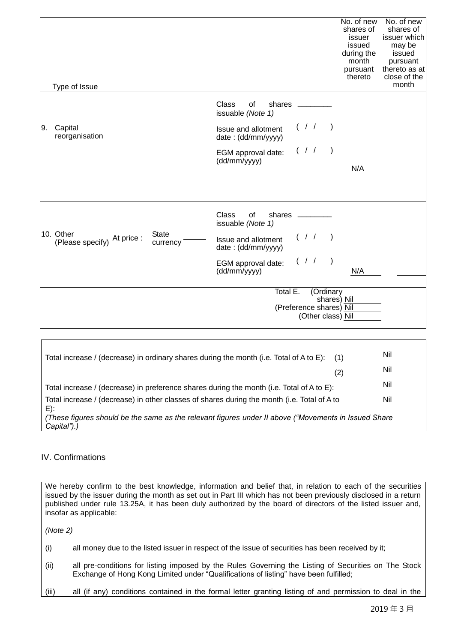|    | Type of Issue                            |                          |                                                                           | No. of new<br>shares of<br>issuer<br>issued<br>during the<br>month<br>pursuant<br>thereto | No. of new<br>shares of<br>issuer which<br>may be<br>issued<br>pursuant<br>thereto as at<br>close of the<br>month |
|----|------------------------------------------|--------------------------|---------------------------------------------------------------------------|-------------------------------------------------------------------------------------------|-------------------------------------------------------------------------------------------------------------------|
| 9. | Capital                                  |                          | Class<br>of<br>shares<br>issuable (Note 1)<br>(11)<br>Issue and allotment |                                                                                           |                                                                                                                   |
|    | reorganisation                           |                          | date: (dd/mm/yyyy)<br>$($ / $/$<br>$\rightarrow$                          |                                                                                           |                                                                                                                   |
|    |                                          |                          | EGM approval date:<br>(dd/mm/yyyy)                                        | N/A                                                                                       |                                                                                                                   |
|    |                                          |                          |                                                                           |                                                                                           |                                                                                                                   |
|    |                                          |                          | <b>Class</b><br>of<br>shares<br>issuable (Note 1)                         |                                                                                           |                                                                                                                   |
|    | 10. Other<br>(Please specify) At price : | <b>State</b><br>currency | $($ / $/$ )<br>Issue and allotment<br>date: (dd/mm/yyyy)                  |                                                                                           |                                                                                                                   |
|    |                                          |                          | $($ / $/$<br>$\rightarrow$<br>EGM approval date:<br>(dd/mm/yyyy)          | N/A                                                                                       |                                                                                                                   |
|    |                                          |                          | Total E.<br>(Ordinary                                                     |                                                                                           |                                                                                                                   |
|    |                                          |                          | shares) Nil                                                               |                                                                                           |                                                                                                                   |
|    |                                          |                          | (Preference shares) Nil<br>(Other class) Nil                              |                                                                                           |                                                                                                                   |

| Total increase / (decrease) in ordinary shares during the month (i.e. Total of A to E):<br>(1)                      | Nil |
|---------------------------------------------------------------------------------------------------------------------|-----|
| (2)                                                                                                                 | Nil |
| Total increase / (decrease) in preference shares during the month (i.e. Total of A to E):                           | Nil |
| Total increase / (decrease) in other classes of shares during the month (i.e. Total of A to<br>E):                  | Nil |
| (These figures should be the same as the relevant figures under II above ("Movements in Issued Share<br>Capital").) |     |

#### IV. Confirmations

We hereby confirm to the best knowledge, information and belief that, in relation to each of the securities issued by the issuer during the month as set out in Part III which has not been previously disclosed in a return published under rule 13.25A, it has been duly authorized by the board of directors of the listed issuer and, insofar as applicable:

*(Note 2)*

- (i) all money due to the listed issuer in respect of the issue of securities has been received by it;
- (ii) all pre-conditions for listing imposed by the Rules Governing the Listing of Securities on The Stock Exchange of Hong Kong Limited under "Qualifications of listing" have been fulfilled;
- (iii) all (if any) conditions contained in the formal letter granting listing of and permission to deal in the